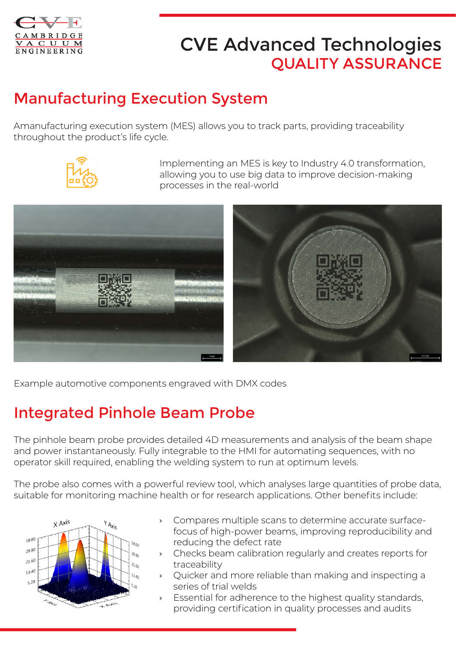

# CVE Advanced Technologies QUALITY ASSURANCE

## Manufacturing Execution System

Amanufacturing execution system (MES) allows you to track parts, providing traceability throughout the product's life cycle.



Implementing an MES is key to Industry 4.0 transformation, allowing you to use big data to improve decision-making processes in the real-world



Example automotive components engraved with DMX codes

## Integrated Pinhole Beam Probe

The pinhole beam probe provides detailed 4D measurements and analysis of the beam shape and power instantaneously. Fully integrable to the HMI for automating sequences, with no operator skill required, enabling the welding system to run at optimum levels.

The probe also comes with a powerful review tool, which analyses large quantities of probe data, suitable for monitoring machine health or for research applications. Other benefits include:



- › Compares multiple scans to determine accurate surfacefocus of high-power beams, improving reproducibility and reducing the defect rate
- › Checks beam calibration regularly and creates reports for traceability
- Quicker and more reliable than making and inspecting a series of trial welds
- Essential for adherence to the highest quality standards, providing certification in quality processes and audits